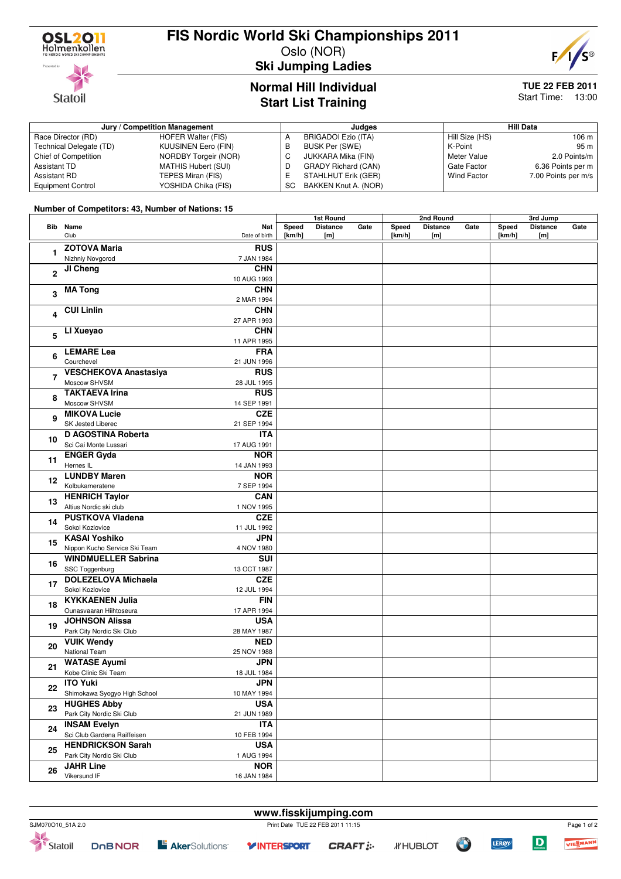

# **FIS Nordic World Ski Championships 2011**

Oslo (NOR) **Ski Jumping Ladies**



**Statoil** 

Technical Delegate (TD)

# **Normal Hill Individual Start List Training**

STAHLHUT Erik (GER) SC BAKKEN Knut A. (NOR)

## **TUE 22 FEB 2011** Start Time: 13:00

7.00 Points per m/s

### **Jury / Competition Management Judges Hill Data** A BRIGADOI Ezio (ITA)<br>B BUSK Per (SWE) B BUSK Per (SWE)<br>C JUKKARA Mika (F JUKKARA Mika (FIN) D GRADY Richard (CAN)<br>E STAHLHUT Erik (GER) Hill Size (HS) 106 m<br>K-Point 95 m K-Point<br>Meter Value 2.0 Points/m Gate Factor 6.36 Points per m<br>Wind Factor 7.00 Points per m/s

## **Number of Competitors: 43, Number of Nations: 15**

Equipment Control **YOSHIDA Chika (FIS)** 

Race Director (RD) HOFER Walter (FIS)<br>Technical Delegate (TD) KUUSINEN Eero (FIN)

Chief of Competition NORDBY Torgeir (NOR) Assistant TD MATHIS Hubert (SUI)<br>Assistant RD TEPES Miran (FIS)

TEPES Miran (FIS)

|                         |                               |               | 1st Round |                 | 2nd Round |        |                 | 3rd Jump |        |                 |      |
|-------------------------|-------------------------------|---------------|-----------|-----------------|-----------|--------|-----------------|----------|--------|-----------------|------|
|                         | <b>Bib</b> Name               | Nat           | Speed     | <b>Distance</b> | Gate      | Speed  | <b>Distance</b> | Gate     | Speed  | <b>Distance</b> | Gate |
|                         | Club                          | Date of birth | [km/h]    | [m]             |           | [km/h] | [m]             |          | [km/h] | [m]             |      |
|                         | <b>ZOTOVA Maria</b>           | <b>RUS</b>    |           |                 |           |        |                 |          |        |                 |      |
| 1                       | Nizhniy Novgorod              | 7 JAN 1984    |           |                 |           |        |                 |          |        |                 |      |
|                         |                               | <b>CHN</b>    |           |                 |           |        |                 |          |        |                 |      |
| $\overline{2}$          | JI Cheng                      |               |           |                 |           |        |                 |          |        |                 |      |
|                         |                               | 10 AUG 1993   |           |                 |           |        |                 |          |        |                 |      |
| 3                       | <b>MA Tong</b>                | <b>CHN</b>    |           |                 |           |        |                 |          |        |                 |      |
|                         |                               | 2 MAR 1994    |           |                 |           |        |                 |          |        |                 |      |
| $\overline{\mathbf{4}}$ | <b>CUI Linlin</b>             | <b>CHN</b>    |           |                 |           |        |                 |          |        |                 |      |
|                         |                               | 27 APR 1993   |           |                 |           |        |                 |          |        |                 |      |
| 5                       | LI Xueyao                     | <b>CHN</b>    |           |                 |           |        |                 |          |        |                 |      |
|                         |                               | 11 APR 1995   |           |                 |           |        |                 |          |        |                 |      |
|                         | <b>LEMARE Lea</b>             |               |           |                 |           |        |                 |          |        |                 |      |
| 6                       |                               | <b>FRA</b>    |           |                 |           |        |                 |          |        |                 |      |
|                         | Courchevel                    | 21 JUN 1996   |           |                 |           |        |                 |          |        |                 |      |
| $\overline{7}$          | <b>VESCHEKOVA Anastasiya</b>  | <b>RUS</b>    |           |                 |           |        |                 |          |        |                 |      |
|                         | Moscow SHVSM                  | 28 JUL 1995   |           |                 |           |        |                 |          |        |                 |      |
| 8                       | <b>TAKTAEVA Irina</b>         | <b>RUS</b>    |           |                 |           |        |                 |          |        |                 |      |
|                         | Moscow SHVSM                  | 14 SEP 1991   |           |                 |           |        |                 |          |        |                 |      |
|                         | <b>MIKOVA Lucie</b>           | <b>CZE</b>    |           |                 |           |        |                 |          |        |                 |      |
| 9                       | SK Jested Liberec             | 21 SEP 1994   |           |                 |           |        |                 |          |        |                 |      |
|                         | <b>D AGOSTINA Roberta</b>     |               |           |                 |           |        |                 |          |        |                 |      |
| 10                      |                               | <b>ITA</b>    |           |                 |           |        |                 |          |        |                 |      |
|                         | Sci Cai Monte Lussari         | 17 AUG 1991   |           |                 |           |        |                 |          |        |                 |      |
| 11                      | <b>ENGER Gyda</b>             | <b>NOR</b>    |           |                 |           |        |                 |          |        |                 |      |
|                         | Hernes IL                     | 14 JAN 1993   |           |                 |           |        |                 |          |        |                 |      |
| 12                      | <b>LUNDBY Maren</b>           | <b>NOR</b>    |           |                 |           |        |                 |          |        |                 |      |
|                         | Kolbukameratene               | 7 SEP 1994    |           |                 |           |        |                 |          |        |                 |      |
| 13                      | <b>HENRICH Taylor</b>         | <b>CAN</b>    |           |                 |           |        |                 |          |        |                 |      |
|                         | Altius Nordic ski club        | 1 NOV 1995    |           |                 |           |        |                 |          |        |                 |      |
|                         |                               |               |           |                 |           |        |                 |          |        |                 |      |
| 14                      | <b>PUSTKOVA Vladena</b>       | <b>CZE</b>    |           |                 |           |        |                 |          |        |                 |      |
|                         | Sokol Kozlovice               | 11 JUL 1992   |           |                 |           |        |                 |          |        |                 |      |
| 15                      | <b>KASAI Yoshiko</b>          | <b>JPN</b>    |           |                 |           |        |                 |          |        |                 |      |
|                         | Nippon Kucho Service Ski Team | 4 NOV 1980    |           |                 |           |        |                 |          |        |                 |      |
|                         | <b>WINDMUELLER Sabrina</b>    | SUI           |           |                 |           |        |                 |          |        |                 |      |
| 16                      | SSC Toggenburg                | 13 OCT 1987   |           |                 |           |        |                 |          |        |                 |      |
| 17                      | <b>DOLEZELOVA Michaela</b>    | <b>CZE</b>    |           |                 |           |        |                 |          |        |                 |      |
|                         | Sokol Kozlovice               | 12 JUL 1994   |           |                 |           |        |                 |          |        |                 |      |
|                         | <b>KYKKAENEN Julia</b>        | <b>FIN</b>    |           |                 |           |        |                 |          |        |                 |      |
| 18                      | Ounasvaaran Hiihtoseura       |               |           |                 |           |        |                 |          |        |                 |      |
|                         |                               | 17 APR 1994   |           |                 |           |        |                 |          |        |                 |      |
| 19                      | <b>JOHNSON Alissa</b>         | <b>USA</b>    |           |                 |           |        |                 |          |        |                 |      |
|                         | Park City Nordic Ski Club     | 28 MAY 1987   |           |                 |           |        |                 |          |        |                 |      |
| 20                      | <b>VUIK Wendy</b>             | <b>NED</b>    |           |                 |           |        |                 |          |        |                 |      |
|                         | National Team                 | 25 NOV 1988   |           |                 |           |        |                 |          |        |                 |      |
| 21<br>22                | <b>WATASE Ayumi</b>           | JPN           |           |                 |           |        |                 |          |        |                 |      |
|                         | Kobe Clinic Ski Team          | 18 JUL 1984   |           |                 |           |        |                 |          |        |                 |      |
|                         | <b>ITO Yuki</b>               | <b>JPN</b>    |           |                 |           |        |                 |          |        |                 |      |
|                         |                               |               |           |                 |           |        |                 |          |        |                 |      |
|                         | Shimokawa Syogyo High School  | 10 MAY 1994   |           |                 |           |        |                 |          |        |                 |      |
| 23                      | <b>HUGHES Abby</b>            | <b>USA</b>    |           |                 |           |        |                 |          |        |                 |      |
|                         | Park City Nordic Ski Club     | 21 JUN 1989   |           |                 |           |        |                 |          |        |                 |      |
| 24                      | <b>INSAM Evelyn</b>           | <b>ITA</b>    |           |                 |           |        |                 |          |        |                 |      |
|                         | Sci Club Gardena Raiffeisen   | 10 FEB 1994   |           |                 |           |        |                 |          |        |                 |      |
| 25                      | <b>HENDRICKSON Sarah</b>      | <b>USA</b>    |           |                 |           |        |                 |          |        |                 |      |
|                         | Park City Nordic Ski Club     | 1 AUG 1994    |           |                 |           |        |                 |          |        |                 |      |
|                         | <b>JAHR Line</b>              | <b>NOR</b>    |           |                 |           |        |                 |          |        |                 |      |
| 26                      | Vikersund IF                  | 16 JAN 1984   |           |                 |           |        |                 |          |        |                 |      |
|                         |                               |               |           |                 |           |        |                 |          |        |                 |      |



**www.fisskijumping.com**



**LERØY** 

Page 1 of 2

ANN